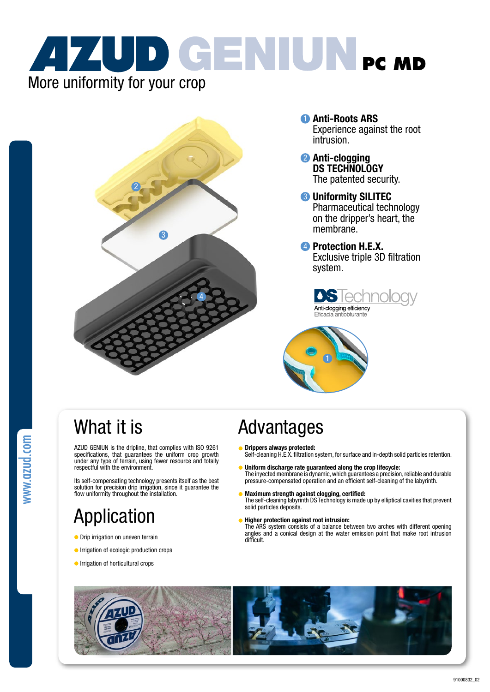



- **D** Anti-Roots ARS Experience against the root intrusion.
- 2 Anti-clogging The patented security.
- **3** Uniformity SILITEC Pharmaceutical technology on the dripper's heart, the membrane.
- **4** Protection H.E.X. Exclusive triple 3D filtration system.





## What it is

AZUD GENIUN is the dripline, that complies with ISO 9261 specifications, that guarantees the uniform crop growth under any type of terrain, using fewer resource and totally respectful with the environment.

Its self-compensating technology presents itself as the best solution for precision drip irrigation, since it guarantee the flow uniformity throughout the installation.

# Application

- **O** Drip irrigation on uneven terrain
- **Irrigation of ecologic production crops**
- **Industrial** crops

## Advantages

- c
- **Drippers always protected:**<br>Self-cleaning H.E.X. filtration system, for surface and in-depth solid particles retention.
- Uniform discharge rate guaranteed along the crop lifecycle: The inyected membrane is dynamic, which guarantees a precision, reliable and durable pressure-compensated operation and an efficient self-cleaning of the labyrinth.
- Maximum strength against clogging, certified: The self-cleaning labyrinth DS Technology is made up by elliptical cavities that prevent solid particles deposits.
- **Higher protection against root intrusion:** The ARS system consists of a balance between two arches with different opening angles and a conical design at the water emission point that make root intrusion difficult.